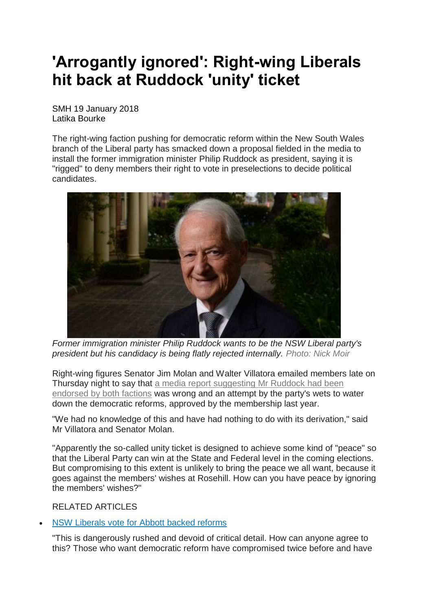## **'Arrogantly ignored': Right-wing Liberals hit back at Ruddock 'unity' ticket**

SMH 19 January 2018 Latika Bourke

The right-wing faction pushing for democratic reform within the New South Wales branch of the Liberal party has smacked down a proposal fielded in the media to install the former immigration minister Philip Ruddock as president, saying it is "rigged" to deny members their right to vote in preselections to decide political candidates.



*Former immigration minister Philip Ruddock wants to be the NSW Liberal party's president but his candidacy is being flatly rejected internally. Photo: Nick Moir*

Right-wing figures Senator Jim Molan and Walter Villatora emailed members late on Thursday night to say that a media report [suggesting](http://www.theaustralian.com.au/national-affairs/state-politics/philip-ruddock-stands-for-presidency-of-nsw-liberals/news-story/f2cfa99e1ba3caa03eca7d331b5b7643) Mr Ruddock had been [endorsed](http://www.theaustralian.com.au/national-affairs/state-politics/philip-ruddock-stands-for-presidency-of-nsw-liberals/news-story/f2cfa99e1ba3caa03eca7d331b5b7643) by both factions was wrong and an attempt by the party's wets to water down the democratic reforms, approved by the membership last year.

"We had no knowledge of this and have had nothing to do with its derivation," said Mr Villatora and Senator Molan.

"Apparently the so-called unity ticket is designed to achieve some kind of "peace" so that the Liberal Party can win at the State and Federal level in the coming elections. But compromising to this extent is unlikely to bring the peace we all want, because it goes against the members' wishes at Rosehill. How can you have peace by ignoring the members' wishes?"

RELATED ARTICLES

## • NSW [Liberals](http://www.smh.com.au/nsw/nsw-liberals-vote-for-tony-abbott-backed-reforms-20170723-gxgvq5.html) vote for Abbott backed reforms

"This is dangerously rushed and devoid of critical detail. How can anyone agree to this? Those who want democratic reform have compromised twice before and have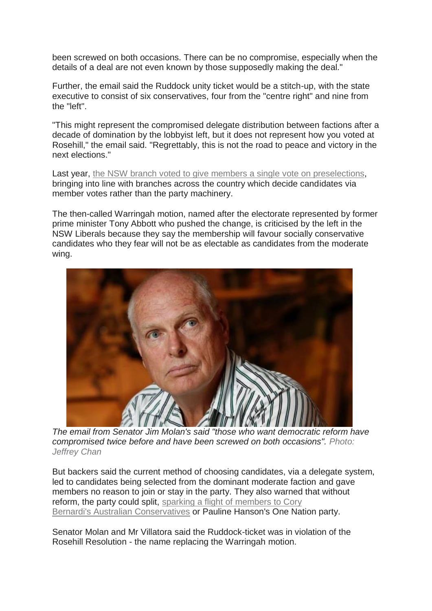been screwed on both occasions. There can be no compromise, especially when the details of a deal are not even known by those supposedly making the deal."

Further, the email said the Ruddock unity ticket would be a stitch-up, with the state executive to consist of six conservatives, four from the "centre right" and nine from the "left".

"This might represent the compromised delegate distribution between factions after a decade of domination by the lobbyist left, but it does not represent how you voted at Rosehill," the email said. "Regrettably, this is not the road to peace and victory in the next elections."

Last year, the NSW branch voted to give members a single vote on [preselections,](http://www.smh.com.au/nsw/nsw-liberals-vote-for-tony-abbott-backed-reforms-20170723-gxgvq5.html) bringing into line with branches across the country which decide candidates via member votes rather than the party machinery.

The then-called Warringah motion, named after the electorate represented by former prime minister Tony Abbott who pushed the change, is criticised by the left in the NSW Liberals because they say the membership will favour socially conservative candidates who they fear will not be as electable as candidates from the moderate wing.



*The email from Senator Jim Molan's said "those who want democratic reform have compromised twice before and have been screwed on both occasions". Photo: Jeffrey Chan*

But backers said the current method of choosing candidates, via a delegate system, led to candidates being selected from the dominant moderate faction and gave members no reason to join or stay in the party. They also warned that without reform, the party could split, sparking a flight of [members](http://www.smh.com.au/federal-politics/political-opinion/what-cory-bernardis-curious-lunch-says-about-tony-abbott-and-his-mates-20170601-gwimqd.html) to Cory Bernardi's Australian [Conservatives](http://www.smh.com.au/federal-politics/political-opinion/what-cory-bernardis-curious-lunch-says-about-tony-abbott-and-his-mates-20170601-gwimqd.html) or Pauline Hanson's One Nation party.

Senator Molan and Mr Villatora said the Ruddock-ticket was in violation of the Rosehill Resolution - the name replacing the Warringah motion.